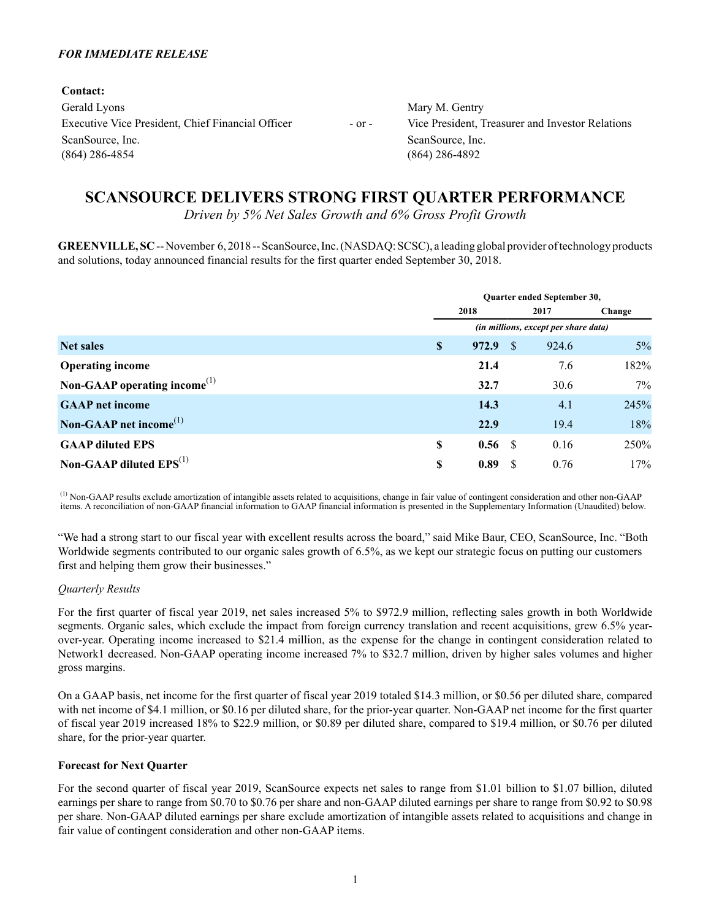### *FOR IMMEDIATE RELEASE*

**Contact:**

| Contact:                                          |            |                                                  |
|---------------------------------------------------|------------|--------------------------------------------------|
| Gerald Lyons                                      |            | Mary M. Gentry                                   |
| Executive Vice President, Chief Financial Officer | $-$ or $-$ | Vice President, Treasurer and Investor Relations |
| ScanSource, Inc.                                  |            | ScanSource, Inc.                                 |
| $(864)$ 286-4854                                  |            | $(864)$ 286-4892                                 |
|                                                   |            |                                                  |

# **SCANSOURCE DELIVERS STRONG FIRST QUARTER PERFORMANCE**

*Driven by 5% Net Sales Growth and 6% Gross Profit Growth*

**GREENVILLE, SC**-- November 6, 2018 -- ScanSource, Inc. (NASDAQ: SCSC), a leading global provider of technology products and solutions, today announced financial results for the first quarter ended September 30, 2018.

|                                          |                           | Quarter ended September 30, |      |                                      |        |  |  |
|------------------------------------------|---------------------------|-----------------------------|------|--------------------------------------|--------|--|--|
|                                          |                           | 2018                        |      | 2017                                 | Change |  |  |
|                                          |                           |                             |      | (in millions, except per share data) |        |  |  |
| <b>Net sales</b>                         | $\mathbf{\$}$             | 972.9                       | - \$ | 924.6                                | 5%     |  |  |
| <b>Operating income</b>                  |                           | 21.4                        |      | 7.6                                  | 182%   |  |  |
| Non-GAAP operating income <sup>(1)</sup> |                           | 32.7                        |      | 30.6                                 | 7%     |  |  |
| <b>GAAP</b> net income                   |                           | 14.3                        |      | 4.1                                  | 245%   |  |  |
| Non-GAAP net income <sup>(1)</sup>       |                           | 22.9                        |      | 19.4                                 | 18%    |  |  |
| <b>GAAP</b> diluted EPS                  | $\boldsymbol{\mathsf{S}}$ | 0.56                        | - \$ | 0.16                                 | 250%   |  |  |
| Non-GAAP diluted $EPS^{(1)}$             | $\boldsymbol{\mathsf{S}}$ | 0.89                        | S    | 0.76                                 | 17%    |  |  |

(1) Non-GAAP results exclude amortization of intangible assets related to acquisitions, change in fair value of contingent consideration and other non-GAAP items. A reconciliation of non-GAAP financial information to GAAP financial information is presented in the Supplementary Information (Unaudited) below.

"We had a strong start to our fiscal year with excellent results across the board," said Mike Baur, CEO, ScanSource, Inc. "Both Worldwide segments contributed to our organic sales growth of 6.5%, as we kept our strategic focus on putting our customers first and helping them grow their businesses."

### *Quarterly Results*

For the first quarter of fiscal year 2019, net sales increased 5% to \$972.9 million, reflecting sales growth in both Worldwide segments. Organic sales, which exclude the impact from foreign currency translation and recent acquisitions, grew 6.5% yearover-year. Operating income increased to \$21.4 million, as the expense for the change in contingent consideration related to Network1 decreased. Non-GAAP operating income increased 7% to \$32.7 million, driven by higher sales volumes and higher gross margins.

On a GAAPbasis, net income for the first quarter of fiscal year 2019 totaled \$14.3 million, or \$0.56 per diluted share, compared with net income of \$4.1 million, or \$0.16 per diluted share, for the prior-year quarter. Non-GAAP net income for the first quarter of fiscal year 2019 increased 18% to \$22.9 million, or \$0.89 per diluted share, compared to \$19.4 million, or \$0.76 per diluted share, for the prior-year quarter.

### **Forecast for Next Quarter**

For the second quarter of fiscal year 2019, ScanSource expects net sales to range from \$1.01 billion to \$1.07 billion, diluted earnings per share to range from \$0.70 to \$0.76 per share and non-GAAPdiluted earnings per share to range from \$0.92 to \$0.98 per share. Non-GAAP diluted earnings per share exclude amortization of intangible assets related to acquisitions and change in fair value of contingent consideration and other non-GAAP items.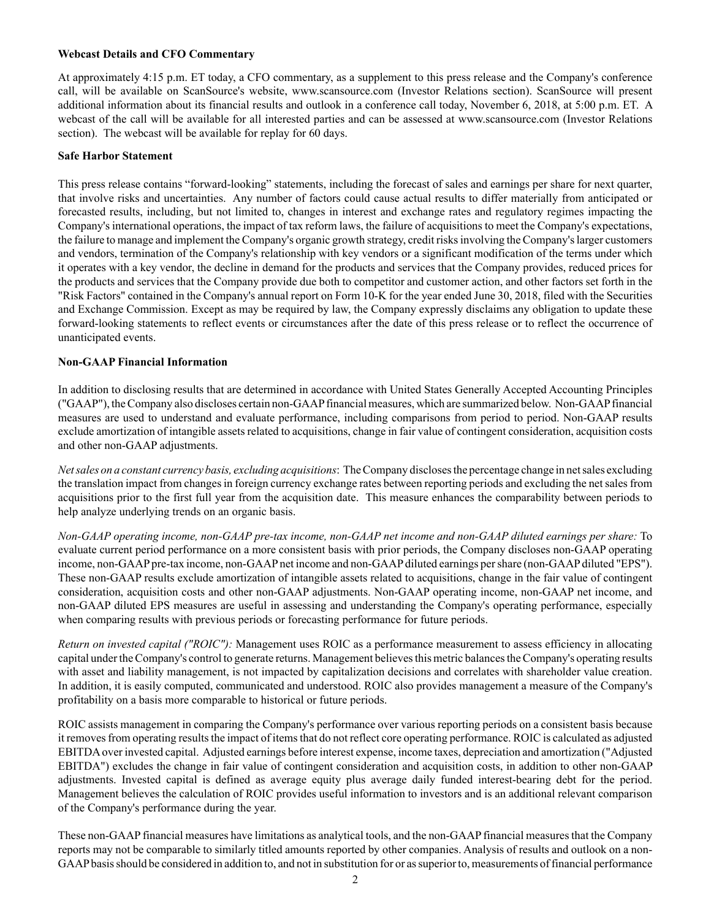### **Webcast Details and CFO Commentary**

At approximately 4:15 p.m. ET today, a CFO commentary, as a supplement to this press release and the Company's conference call, will be available on ScanSource's website, www.scansource.com (Investor Relations section). ScanSource will present additional information about its financial results and outlook in a conference call today, November 6, 2018, at 5:00 p.m. ET. A webcast of the call will be available for all interested parties and can be assessed at www.scansource.com (Investor Relations section). The webcast will be available for replay for 60 days.

#### **Safe Harbor Statement**

This press release contains "forward-looking" statements, including the forecast of sales and earnings per share for next quarter, that involve risks and uncertainties. Any number of factors could cause actual results to differ materially from anticipated or forecasted results, including, but not limited to, changes in interest and exchange rates and regulatory regimes impacting the Company's international operations, the impact of tax reform laws, the failure of acquisitions to meet the Company's expectations, the failure to manage and implement the Company's organic growth strategy, credit risks involving the Company's larger customers and vendors, termination of the Company's relationship with key vendors or a significant modification of the terms under which it operates with a key vendor, the decline in demand for the products and services that the Company provides, reduced prices for the products and services that the Company provide due both to competitor and customer action, and other factors set forth in the "Risk Factors" contained in the Company's annual report on Form 10-K for the year ended June 30, 2018, filed with the Securities and Exchange Commission. Except as may be required by law, the Company expressly disclaims any obligation to update these forward-looking statements to reflect events or circumstances after the date of this press release or to reflect the occurrence of unanticipated events.

#### **Non-GAAP Financial Information**

In addition to disclosing results that are determined in accordance with United States Generally Accepted Accounting Principles ("GAAP"), the Company also discloses certain non-GAAPfinancial measures, which are summarized below. Non-GAAPfinancial measures are used to understand and evaluate performance, including comparisons from period to period. Non-GAAP results exclude amortization of intangible assets related to acquisitions, change in fair value of contingent consideration, acquisition costs and other non-GAAP adjustments.

*Net sales on a constant currency basis, excluding acquisitions*: The Company discloses the percentage change in net sales excluding the translation impact from changes in foreign currency exchange rates between reporting periods and excluding the net sales from acquisitions prior to the first full year from the acquisition date. This measure enhances the comparability between periods to help analyze underlying trends on an organic basis.

*Non-GAAP operating income, non-GAAP pre-tax income, non-GAAP net income and non-GAAP diluted earnings per share:* To evaluate current period performance on a more consistent basis with prior periods, the Company discloses non-GAAP operating income, non-GAAP pre-tax income, non-GAAP net income and non-GAAP diluted earnings per share (non-GAAP diluted "EPS"). These non-GAAP results exclude amortization of intangible assets related to acquisitions, change in the fair value of contingent consideration, acquisition costs and other non-GAAP adjustments. Non-GAAP operating income, non-GAAP net income, and non-GAAP diluted EPS measures are useful in assessing and understanding the Company's operating performance, especially when comparing results with previous periods or forecasting performance for future periods.

*Return on invested capital ("ROIC"):* Management uses ROIC as a performance measurement to assess efficiency in allocating capital under the Company's control to generate returns. Management believes this metric balances the Company's operating results with asset and liability management, is not impacted by capitalization decisions and correlates with shareholder value creation. In addition, it is easily computed, communicated and understood. ROIC also provides management a measure of the Company's profitability on a basis more comparable to historical or future periods.

ROIC assists management in comparing the Company's performance over various reporting periods on a consistent basis because it removes from operating results the impact of items that do not reflect core operating performance. ROIC is calculated as adjusted EBITDAover invested capital. Adjusted earnings before interest expense, income taxes, depreciation and amortization ("Adjusted EBITDA") excludes the change in fair value of contingent consideration and acquisition costs, in addition to other non-GAAP adjustments. Invested capital is defined as average equity plus average daily funded interest-bearing debt for the period. Management believes the calculation of ROIC provides useful information to investors and is an additional relevant comparison of the Company's performance during the year.

These non-GAAPfinancial measures have limitations as analytical tools, and the non-GAAPfinancial measures that the Company reports may not be comparable to similarly titled amounts reported by other companies. Analysis of results and outlook on a non-GAAPbasis should be considered in addition to, and not in substitution for or as superior to, measurements of financial performance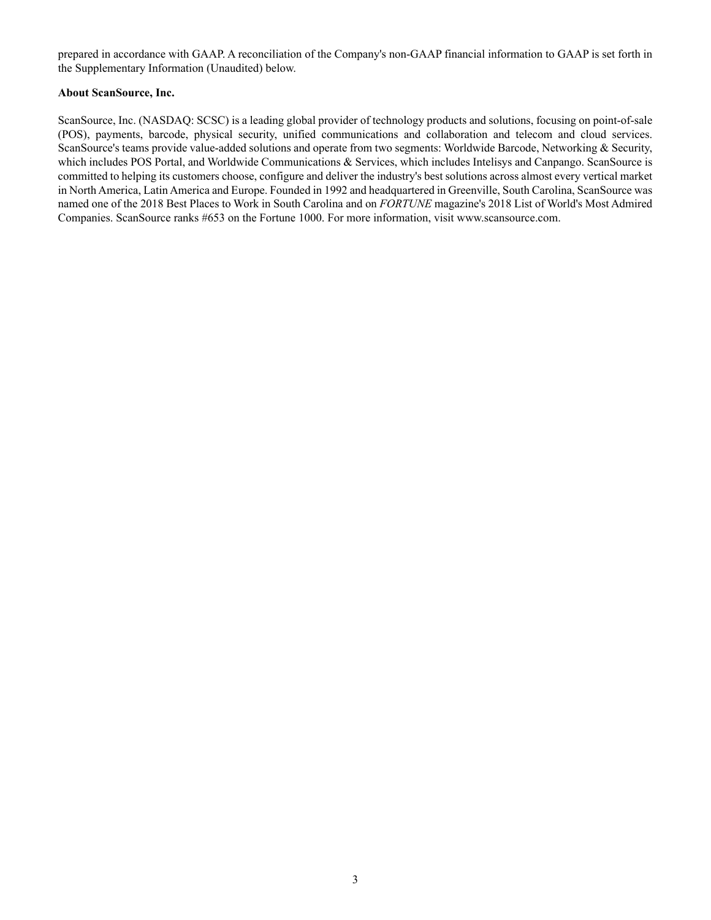prepared in accordance with GAAP. A reconciliation of the Company's non-GAAP financial information to GAAP is set forth in the Supplementary Information (Unaudited) below.

### **About ScanSource, Inc.**

ScanSource, Inc. (NASDAQ: SCSC) is a leading global provider of technology products and solutions, focusing on point-of-sale (POS), payments, barcode, physical security, unified communications and collaboration and telecom and cloud services. ScanSource's teams provide value-added solutions and operate from two segments: Worldwide Barcode, Networking & Security, which includes POS Portal, and Worldwide Communications & Services, which includes Intelisys and Canpango. ScanSource is committed to helping its customers choose, configure and deliver the industry's best solutions across almost every vertical market in North America, Latin America and Europe. Founded in 1992 and headquartered in Greenville, South Carolina, ScanSource was named one of the 2018 Best Places to Work in South Carolina and on *FORTUNE* magazine's 2018 List of World's Most Admired Companies. ScanSource ranks #653 on the Fortune 1000. For more information, visit www.scansource.com.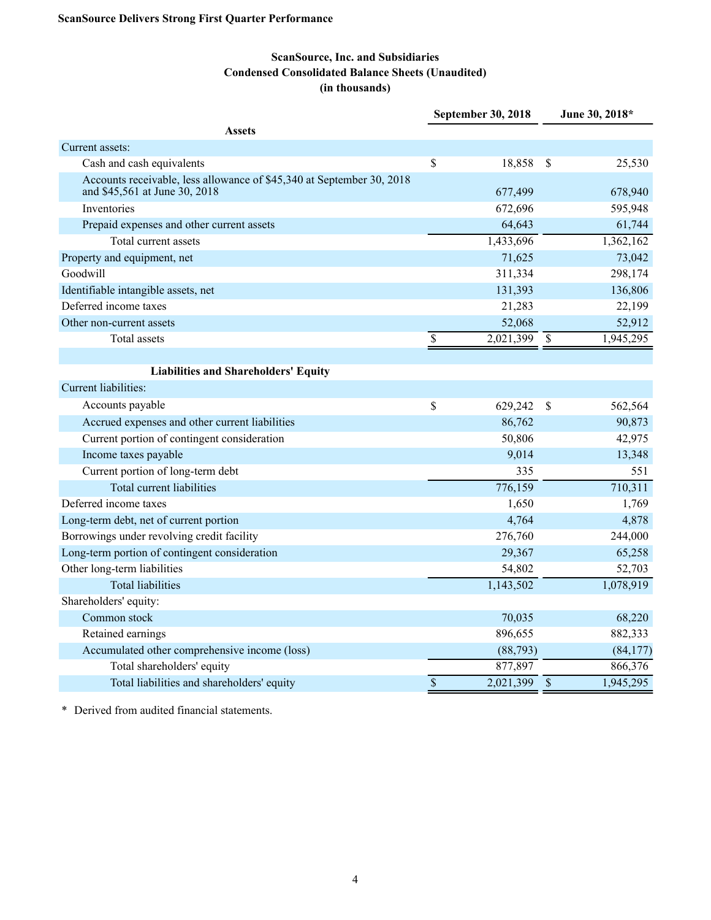# **ScanSource, Inc. and Subsidiaries Condensed Consolidated Balance Sheets (Unaudited) (in thousands)**

|                                                                                                        |                 | <b>September 30, 2018</b> |                           | June 30, 2018* |
|--------------------------------------------------------------------------------------------------------|-----------------|---------------------------|---------------------------|----------------|
| <b>Assets</b>                                                                                          |                 |                           |                           |                |
| Current assets:                                                                                        |                 |                           |                           |                |
| Cash and cash equivalents                                                                              | \$              | 18,858                    | $\boldsymbol{\mathsf{S}}$ | 25,530         |
| Accounts receivable, less allowance of \$45,340 at September 30, 2018<br>and \$45,561 at June 30, 2018 |                 | 677,499                   |                           | 678,940        |
| Inventories                                                                                            |                 | 672,696                   |                           | 595,948        |
| Prepaid expenses and other current assets                                                              |                 | 64,643                    |                           | 61,744         |
| Total current assets                                                                                   |                 | 1,433,696                 |                           | 1,362,162      |
| Property and equipment, net                                                                            |                 | 71,625                    |                           | 73,042         |
| Goodwill                                                                                               |                 | 311,334                   |                           | 298,174        |
| Identifiable intangible assets, net                                                                    |                 | 131,393                   |                           | 136,806        |
| Deferred income taxes                                                                                  |                 | 21,283                    |                           | 22,199         |
| Other non-current assets                                                                               |                 | 52,068                    |                           | 52,912         |
| <b>Total assets</b>                                                                                    | $\overline{\$}$ | 2,021,399                 | $\overline{\mathcal{S}}$  | 1,945,295      |
|                                                                                                        |                 |                           |                           |                |
| <b>Liabilities and Shareholders' Equity</b>                                                            |                 |                           |                           |                |
| Current liabilities:                                                                                   |                 |                           |                           |                |
| Accounts payable                                                                                       | \$              | 629,242                   | \$                        | 562,564        |
| Accrued expenses and other current liabilities                                                         |                 | 86,762                    |                           | 90,873         |
| Current portion of contingent consideration                                                            |                 | 50,806                    |                           | 42,975         |
| Income taxes payable                                                                                   |                 | 9,014                     |                           | 13,348         |
| Current portion of long-term debt                                                                      |                 | 335                       |                           | 551            |
| Total current liabilities                                                                              |                 | 776,159                   |                           | 710,311        |
| Deferred income taxes                                                                                  |                 | 1,650                     |                           | 1,769          |
| Long-term debt, net of current portion                                                                 |                 | 4,764                     |                           | 4,878          |
| Borrowings under revolving credit facility                                                             |                 | 276,760                   |                           | 244,000        |
| Long-term portion of contingent consideration                                                          |                 | 29,367                    |                           | 65,258         |
| Other long-term liabilities                                                                            |                 | 54,802                    |                           | 52,703         |
| <b>Total liabilities</b>                                                                               |                 | 1,143,502                 |                           | 1,078,919      |
| Shareholders' equity:                                                                                  |                 |                           |                           |                |
| Common stock                                                                                           |                 | 70,035                    |                           | 68,220         |
| Retained earnings                                                                                      |                 | 896,655                   |                           | 882,333        |
| Accumulated other comprehensive income (loss)                                                          |                 | (88, 793)                 |                           | (84,177)       |
| Total shareholders' equity                                                                             |                 | 877,897                   |                           | 866,376        |
| Total liabilities and shareholders' equity                                                             | \$              | 2,021,399                 | $\overline{\mathcal{S}}$  | 1,945,295      |

\* Derived from audited financial statements.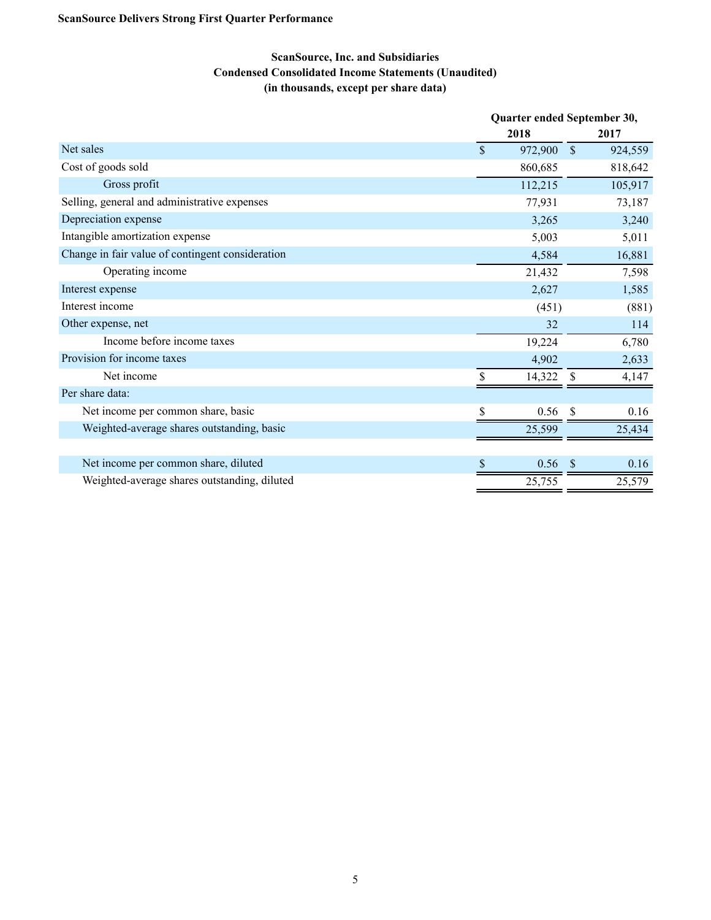# **ScanSource, Inc. and Subsidiaries Condensed Consolidated Income Statements (Unaudited) (in thousands, except per share data)**

|                                                  |               | Quarter ended September 30, |         |  |  |  |
|--------------------------------------------------|---------------|-----------------------------|---------|--|--|--|
|                                                  | 2018          |                             | 2017    |  |  |  |
| Net sales                                        | \$<br>972,900 | $\mathcal{S}$               | 924,559 |  |  |  |
| Cost of goods sold                               | 860,685       |                             | 818,642 |  |  |  |
| Gross profit                                     | 112,215       |                             | 105,917 |  |  |  |
| Selling, general and administrative expenses     | 77,931        |                             | 73,187  |  |  |  |
| Depreciation expense                             | 3,265         |                             | 3,240   |  |  |  |
| Intangible amortization expense                  | 5,003         |                             | 5,011   |  |  |  |
| Change in fair value of contingent consideration | 4,584         |                             | 16,881  |  |  |  |
| Operating income                                 | 21,432        |                             | 7,598   |  |  |  |
| Interest expense                                 | 2,627         |                             | 1,585   |  |  |  |
| Interest income                                  | (451)         |                             | (881)   |  |  |  |
| Other expense, net                               | 32            |                             | 114     |  |  |  |
| Income before income taxes                       | 19,224        |                             | 6,780   |  |  |  |
| Provision for income taxes                       | 4,902         |                             | 2,633   |  |  |  |
| Net income                                       | 14,322        | S                           | 4,147   |  |  |  |
| Per share data:                                  |               |                             |         |  |  |  |
| Net income per common share, basic               | 0.56          |                             | 0.16    |  |  |  |
| Weighted-average shares outstanding, basic       | 25,599        |                             | 25,434  |  |  |  |
|                                                  |               |                             |         |  |  |  |
| Net income per common share, diluted             | 0.56<br>\$    | <sup>S</sup>                | 0.16    |  |  |  |
| Weighted-average shares outstanding, diluted     | 25,755        |                             | 25,579  |  |  |  |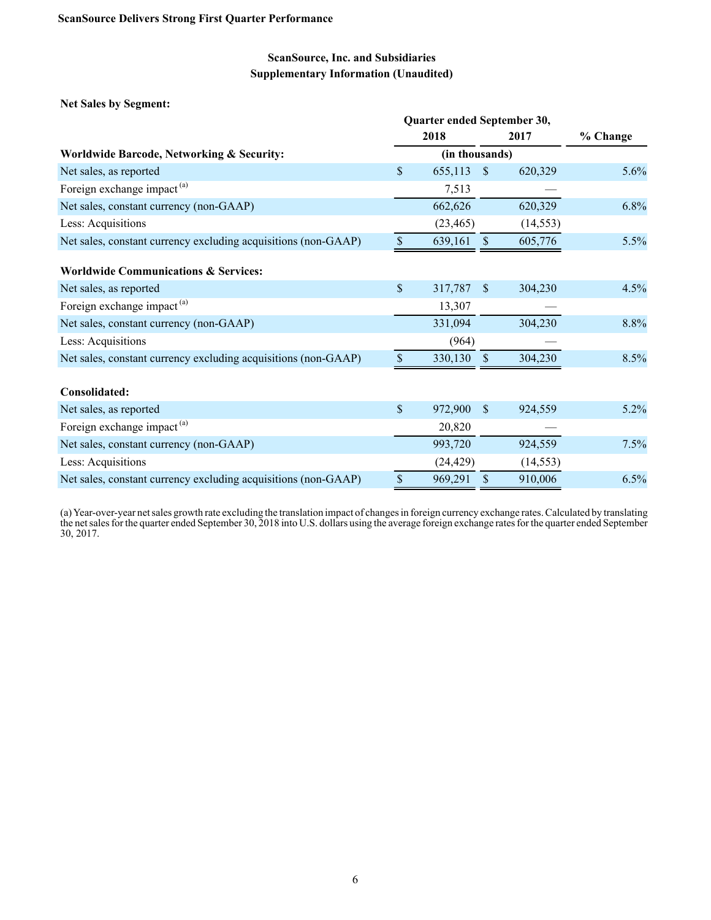# **ScanSource, Inc. and Subsidiaries Supplementary Information (Unaudited)**

**Net Sales by Segment:**

|                                                                |               | Quarter ended September 30, |               |           |          |
|----------------------------------------------------------------|---------------|-----------------------------|---------------|-----------|----------|
| Worldwide Barcode, Networking & Security:                      |               | 2018                        |               | 2017      | % Change |
|                                                                |               | (in thousands)              |               |           |          |
| Net sales, as reported                                         | \$            | 655,113                     | $\sqrt{\ }$   | 620,329   | 5.6%     |
| Foreign exchange impact <sup>(a)</sup>                         |               | 7,513                       |               |           |          |
| Net sales, constant currency (non-GAAP)                        |               | 662,626                     |               | 620,329   | 6.8%     |
| Less: Acquisitions                                             |               | (23, 465)                   |               | (14, 553) |          |
| Net sales, constant currency excluding acquisitions (non-GAAP) |               | 639,161                     | $\mathcal{S}$ | 605,776   | 5.5%     |
| <b>Worldwide Communications &amp; Services:</b>                |               |                             |               |           |          |
| Net sales, as reported                                         | $\mathsf{\$}$ | 317,787                     | $\mathbb{S}$  | 304,230   | 4.5%     |
| Foreign exchange impact <sup>(a)</sup>                         |               | 13,307                      |               |           |          |
| Net sales, constant currency (non-GAAP)                        |               | 331,094                     |               | 304,230   | 8.8%     |
| Less: Acquisitions                                             |               | (964)                       |               |           |          |
| Net sales, constant currency excluding acquisitions (non-GAAP) |               | 330,130                     | $\mathbb{S}$  | 304,230   | 8.5%     |
| Consolidated:                                                  |               |                             |               |           |          |
| Net sales, as reported                                         | $\mathsf{\$}$ | 972,900                     | $\mathbb{S}$  | 924,559   | 5.2%     |
| Foreign exchange impact <sup>(a)</sup>                         |               | 20,820                      |               |           |          |
| Net sales, constant currency (non-GAAP)                        |               | 993,720                     |               | 924,559   | 7.5%     |
| Less: Acquisitions                                             |               | (24, 429)                   |               | (14, 553) |          |
| Net sales, constant currency excluding acquisitions (non-GAAP) | \$            | 969,291                     | \$            | 910,006   | 6.5%     |

(a) Year-over-year net sales growth rate excluding the translation impact of changes in foreign currency exchange rates. Calculated by translating the net sales for the quarter ended September 30, 2018 into U.S. dollars using the average foreign exchange rates for the quarter ended September 30, 2017.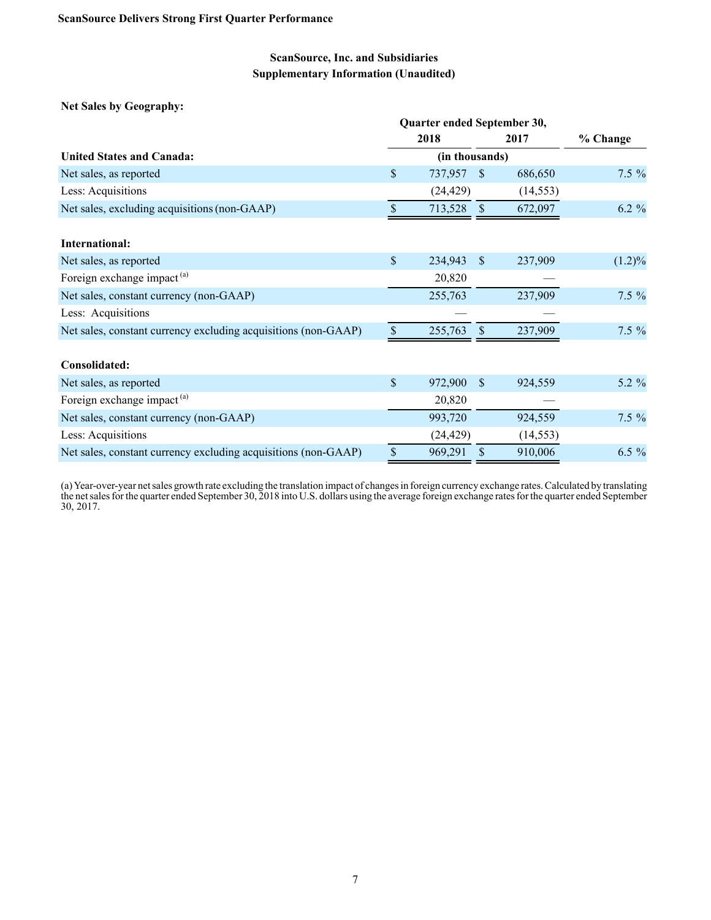# **ScanSource, Inc. and Subsidiaries Supplementary Information (Unaudited)**

**Net Sales by Geography:**

|                                                                |                           | Quarter ended September 30, |               |           |           |  |
|----------------------------------------------------------------|---------------------------|-----------------------------|---------------|-----------|-----------|--|
|                                                                |                           | 2018                        |               | 2017      | % Change  |  |
| <b>United States and Canada:</b>                               |                           | (in thousands)              |               |           |           |  |
| Net sales, as reported                                         | \$                        | 737,957                     | <sup>\$</sup> | 686,650   | $7.5\%$   |  |
| Less: Acquisitions                                             |                           | (24, 429)                   |               | (14, 553) |           |  |
| Net sales, excluding acquisitions (non-GAAP)                   | $\boldsymbol{\mathsf{S}}$ | 713,528                     | <sup>S</sup>  | 672,097   | $6.2 \%$  |  |
| International:                                                 |                           |                             |               |           |           |  |
| Net sales, as reported                                         | \$                        | 234,943                     | <sup>\$</sup> | 237,909   | $(1.2)\%$ |  |
| Foreign exchange impact <sup>(a)</sup>                         |                           | 20,820                      |               |           |           |  |
| Net sales, constant currency (non-GAAP)                        |                           | 255,763                     |               | 237,909   | $7.5\%$   |  |
| Less: Acquisitions                                             |                           |                             |               |           |           |  |
| Net sales, constant currency excluding acquisitions (non-GAAP) | S                         | 255,763                     |               | 237,909   | $7.5\%$   |  |
| Consolidated:                                                  |                           |                             |               |           |           |  |
| Net sales, as reported                                         | \$                        | 972,900                     | $\mathbb{S}$  | 924,559   | $5.2 \%$  |  |
| Foreign exchange impact <sup>(a)</sup>                         |                           | 20,820                      |               |           |           |  |
| Net sales, constant currency (non-GAAP)                        |                           | 993,720                     |               | 924,559   | $7.5\%$   |  |
| Less: Acquisitions                                             |                           | (24, 429)                   |               | (14, 553) |           |  |
| Net sales, constant currency excluding acquisitions (non-GAAP) | \$                        | 969,291                     | $\mathbb{S}$  | 910,006   | $6.5\%$   |  |

(a) Year-over-year net sales growth rate excluding the translation impact of changes in foreign currency exchange rates. Calculated by translating the net sales for the quarter ended September 30, 2018 into U.S. dollars using the average foreign exchange rates for the quarter ended September 30, 2017.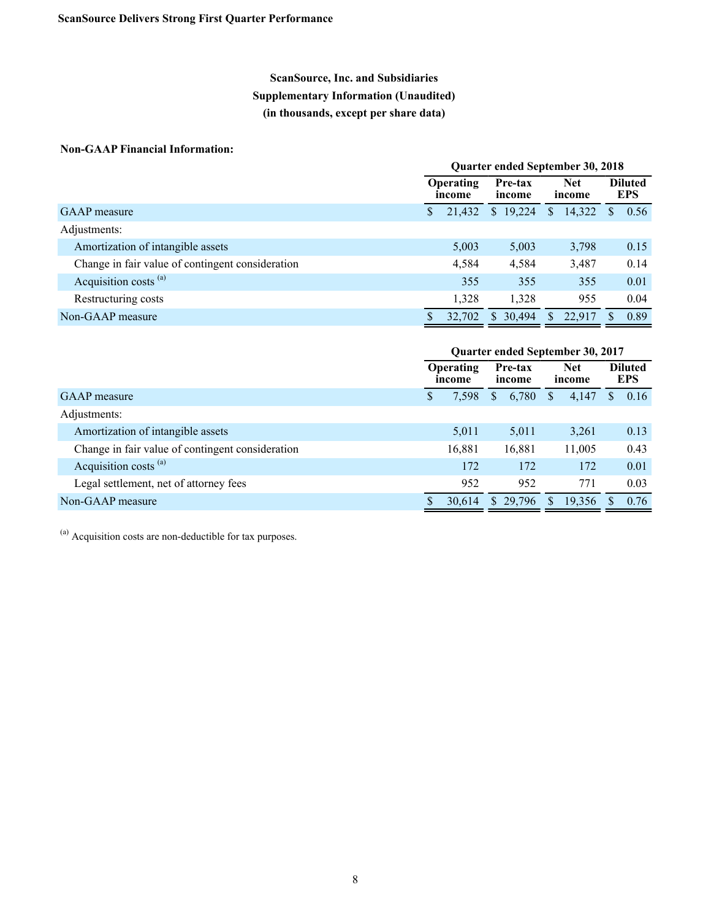# **ScanSource, Inc. and Subsidiaries Supplementary Information (Unaudited) (in thousands, except per share data)**

### **Non-GAAP Financial Information:**

|                                                  | Quarter ended September 30, 2018 |        |                   |        |                      |        |               |                              |  |
|--------------------------------------------------|----------------------------------|--------|-------------------|--------|----------------------|--------|---------------|------------------------------|--|
|                                                  | <b>Operating</b><br>income       |        | Pre-tax<br>income |        | <b>Net</b><br>income |        |               | <b>Diluted</b><br><b>EPS</b> |  |
| GAAP measure                                     |                                  | 21.432 | \$19,224          |        | $\mathbb{S}$         | 14,322 | <sup>\$</sup> | 0.56                         |  |
| Adjustments:                                     |                                  |        |                   |        |                      |        |               |                              |  |
| Amortization of intangible assets                |                                  | 5,003  |                   | 5,003  |                      | 3,798  |               | 0.15                         |  |
| Change in fair value of contingent consideration |                                  | 4,584  |                   | 4,584  |                      | 3,487  |               | 0.14                         |  |
| Acquisition costs <sup>(a)</sup>                 |                                  | 355    |                   | 355    |                      | 355    |               | 0.01                         |  |
| Restructuring costs                              |                                  | 1,328  |                   | 1.328  |                      | 955    |               | 0.04                         |  |
| Non-GAAP measure                                 |                                  | 32,702 | S.                | 30,494 | S.                   | 22.917 |               | 0.89                         |  |

|                                                  | Quarter ended September 30, 2017 |                     |              |                   |              |                      |    |                              |  |
|--------------------------------------------------|----------------------------------|---------------------|--------------|-------------------|--------------|----------------------|----|------------------------------|--|
|                                                  |                                  | Operating<br>income |              | Pre-tax<br>income |              | <b>Net</b><br>income |    | <b>Diluted</b><br><b>EPS</b> |  |
| GAAP measure                                     | \$                               | 7,598               | <sup>S</sup> | 6,780             | <sup>S</sup> | 4,147                | S. | 0.16                         |  |
| Adjustments:                                     |                                  |                     |              |                   |              |                      |    |                              |  |
| Amortization of intangible assets                |                                  | 5,011               |              | 5,011             |              | 3,261                |    | 0.13                         |  |
| Change in fair value of contingent consideration |                                  | 16,881              |              | 16,881            |              | 11,005               |    | 0.43                         |  |
| Acquisition costs <sup>(a)</sup>                 |                                  | 172                 |              | 172               |              | 172                  |    | 0.01                         |  |
| Legal settlement, net of attorney fees           |                                  | 952                 |              | 952               |              | 771                  |    | 0.03                         |  |
| Non-GAAP measure                                 |                                  | 30,614              |              | \$29,796          | \$.          | 19,356               |    | 0.76                         |  |

(a) Acquisition costs are non-deductible for tax purposes.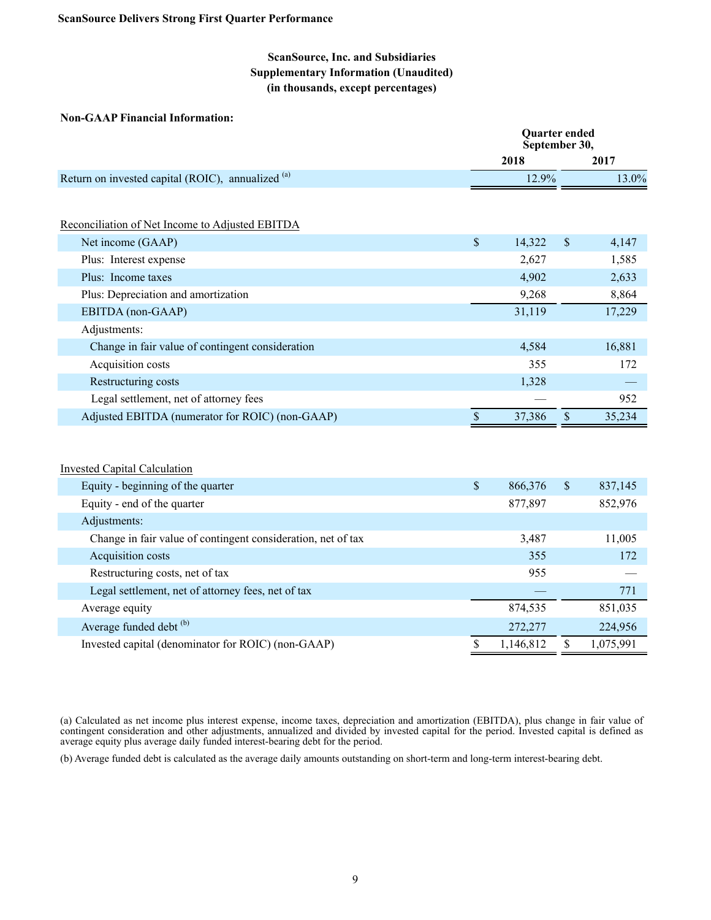## **ScanSource, Inc. and Subsidiaries Supplementary Information (Unaudited) (in thousands, except percentages)**

#### **Non-GAAP Financial Information:**

|                                                   |              | Quarter ended<br>September 30, |              |        |  |  |
|---------------------------------------------------|--------------|--------------------------------|--------------|--------|--|--|
|                                                   |              | 2018                           |              | 2017   |  |  |
| Return on invested capital (ROIC), annualized (a) |              | 12.9%                          |              | 13.0%  |  |  |
|                                                   |              |                                |              |        |  |  |
| Reconciliation of Net Income to Adjusted EBITDA   |              |                                |              |        |  |  |
| Net income (GAAP)                                 | $\mathbb{S}$ | 14,322                         | $\mathbb{S}$ | 4,147  |  |  |
| Plus: Interest expense                            |              | 2,627                          |              | 1,585  |  |  |
| Plus: Income taxes                                |              | 4,902                          |              | 2,633  |  |  |
| Plus: Depreciation and amortization               |              | 9,268                          |              | 8,864  |  |  |
| EBITDA (non-GAAP)                                 |              | 31,119                         |              | 17,229 |  |  |
| Adjustments:                                      |              |                                |              |        |  |  |
| Change in fair value of contingent consideration  |              | 4,584                          |              | 16,881 |  |  |
| Acquisition costs                                 |              | 355                            |              | 172    |  |  |
| Restructuring costs                               |              | 1,328                          |              |        |  |  |
| Legal settlement, net of attorney fees            |              |                                |              | 952    |  |  |
| Adjusted EBITDA (numerator for ROIC) (non-GAAP)   |              | 37,386                         | \$           | 35,234 |  |  |
|                                                   |              |                                |              |        |  |  |
|                                                   |              |                                |              |        |  |  |
| Invested Capital Calculation                      |              |                                |              |        |  |  |

| 866,376<br>877,897<br>3,487 | S | 837,145<br>852,976 |
|-----------------------------|---|--------------------|
|                             |   |                    |
|                             |   |                    |
|                             |   |                    |
|                             |   | 11,005             |
| 355                         |   | 172                |
| 955                         |   |                    |
|                             |   | 771                |
| 874,535                     |   | 851,035            |
| 272,277                     |   | 224,956            |
| 1,146,812                   |   | 1,075,991          |
|                             |   |                    |

(a) Calculated as net income plus interest expense, income taxes, depreciation and amortization (EBITDA), plus change in fair value of contingent consideration and other adjustments, annualized and divided by invested capital for the period. Invested capital is defined as average equity plus average daily funded interest-bearing debt for the period.

(b) Average funded debt is calculated as the average daily amounts outstanding on short-term and long-term interest-bearing debt.